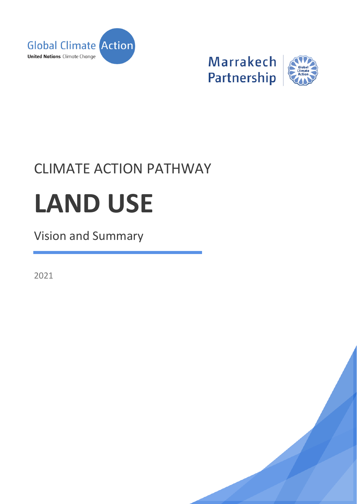

**Marrakech** Partnership



## CLIMATE ACTION PATHWAY

# **LAND USE**

### Vision and Summary

2021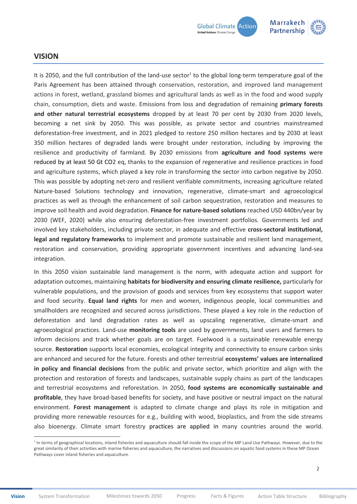

#### <span id="page-1-0"></span>**VISION**

 $\overline{a}$ 

It is 2050, and the full contribution of the land-use sector<sup>1</sup> to the global long-term temperature goal of the Paris Agreement has been attained through conservation, restoration, and improved land management actions in forest, wetland, grassland biomes and agricultural lands as well as in the food and wood supply chain, consumption, diets and waste. Emissions from loss and degradation of remaining **primary forests and other natural terrestrial ecosystems** dropped by at least 70 per cent by 2030 from 2020 levels, becoming a net sink by 2050. This was possible, as private sector and countries mainstreamed deforestation-free investment, and in 2021 pledged to restore 250 million hectares and by 2030 at least 350 million hectares of degraded lands were brought under restoration, including by improving the resilience and productivity of farmland. By 2030 emissions from **agriculture and food systems** were reduced by at least 50 Gt CO2 eq, thanks to the expansion of regenerative and resilience practices in food and agriculture systems, which played a key role in transforming the sector into carbon negative by 2050. This was possible by adopting net-zero and resilient verifiable commitments, increasing agriculture related Nature-based Solutions technology and innovation, regenerative, climate-smart and agroecological practices as well as through the enhancement of soil carbon sequestration, restoration and measures to improve soil health and avoid degradation. **Finance for nature-based solutions** reached USD 440bn/year by 2030 (WEF, 2020) while also ensuring deforestation-free investment portfolios. Governments led and involved key stakeholders, including private sector, in adequate and effective **cross-sectoral institutional, legal and regulatory frameworks** to implement and promote sustainable and resilient land management, restoration and conservation, providing appropriate government incentives and advancing land-sea integration.

In this 2050 vision sustainable land management is the norm, with adequate action and support for adaptation outcomes, maintaining **habitats for biodiversity and ensuring climate resilience,** particularly for vulnerable populations, and the provision of goods and services from key ecosystems that support water and food security. **Equal land rights** for men and women, indigenous people, local communities and smallholders are recognized and secured across jurisdictions. These played a key role in the reduction of deforestation and land degradation rates as well as upscaling regenerative, climate-smart and agroecological practices. Land-use **monitoring tools** are used by governments, land users and farmers to inform decisions and track whether goals are on target. Fuelwood is a sustainable renewable energy source. **Restoration** supports local economies, ecological integrity and connectivity to ensure carbon sinks are enhanced and secured for the future. Forests and other terrestrial **ecosystems' values are internalized in policy and financial decisions** from the public and private sector, which prioritize and align with the protection and restoration of forests and landscapes, sustainable supply chains as part of the landscapes and terrestrial ecosystems and reforestation. In 2050, **food systems are economically sustainable and profitable**, they have broad-based benefits for society, and have positive or neutral impact on the natural environment. **Forest management** is adapted to climate change and plays its role in mitigation and providing more renewable resources for e.g., building with wood, bioplastics, and from the side streams also bioenergy. Climate smart forestry practices are applied in many countries around the world.

<sup>&</sup>lt;sup>1</sup> In terms of geographical locations, inland fisheries and aquaculture should fall inside the scope of the MP Land Use Pathways. However, due to the great similarity of their activities with marine fisheries and aquaculture, the narratives and discussions on aquatic food systems in these MP Ocean Pathways cover inland fisheries and aquaculture.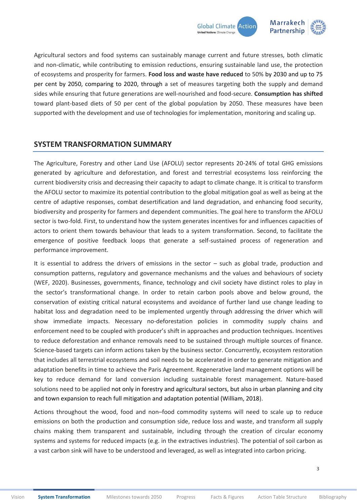

Agricultural sectors and food systems can sustainably manage current and future stresses, both climatic and non-climatic, while contributing to emission reductions, ensuring sustainable land use, the protection of ecosystems and prosperity for farmers. **Food loss and waste have reduced** to 50% by 2030 and up to 75 per cent by 2050, comparing to 2020, through a set of measures targeting both the supply and demand sides while ensuring that future generations are well-nourished and food-secure. **Consumption has shifted**  toward plant-based diets of 50 per cent of the global population by 2050. These measures have been supported with the development and use of technologies for implementation, monitoring and scaling up.

#### <span id="page-2-0"></span>**SYSTEM TRANSFORMATION SUMMARY**

The Agriculture, Forestry and other Land Use (AFOLU) sector represents 20-24% of total GHG emissions generated by agriculture and deforestation, and forest and terrestrial ecosystems loss reinforcing the current biodiversity crisis and decreasing their capacity to adapt to climate change. It is critical to transform the AFOLU sector to maximize its potential contribution to the global mitigation goal as well as being at the centre of adaptive responses, combat desertification and land degradation, and enhancing food security, biodiversity and prosperity for farmers and dependent communities. The goal here to transform the AFOLU sector is two-fold. First, to understand how the system generates incentives for and influences capacities of actors to orient them towards behaviour that leads to a system transformation. Second, to facilitate the emergence of positive feedback loops that generate a self-sustained process of regeneration and performance improvement.

It is essential to address the drivers of emissions in the sector – such as global trade, production and consumption patterns, regulatory and governance mechanisms and the values and behaviours of society (WEF, 2020). Businesses, governments, finance, technology and civil society have distinct roles to play in the sector's transformational change. In order to retain carbon pools above and below ground, the conservation of existing critical natural ecosystems and avoidance of further land use change leading to habitat loss and degradation need to be implemented urgently through addressing the driver which will show immediate impacts. Necessary no-deforestation policies in commodity supply chains and enforcement need to be coupled with producer's shift in approaches and production techniques. Incentives to reduce deforestation and enhance removals need to be sustained through multiple sources of finance. Science-based targets can inform actions taken by the business sector. Concurrently, ecosystem restoration that includes all terrestrial ecosystems and soil needs to be accelerated in order to generate mitigation and adaptation benefits in time to achieve the Paris Agreement. Regenerative land management options will be key to reduce demand for land conversion including sustainable forest management. Nature-based solutions need to be applied not only in forestry and agricultural sectors, but also in urban planning and city and town expansion to reach full mitigation and adaptation potential (William, 2018).

Actions throughout the wood, food and non–food commodity systems will need to scale up to reduce emissions on both the production and consumption side, reduce loss and waste, and transform all supply chains making them transparent and sustainable, including through the creation of circular economy systems and systems for reduced impacts (e.g. in the extractives industries). The potential of soil carbon as a vast carbon sink will have to be understood and leveraged, as well as integrated into carbon pricing.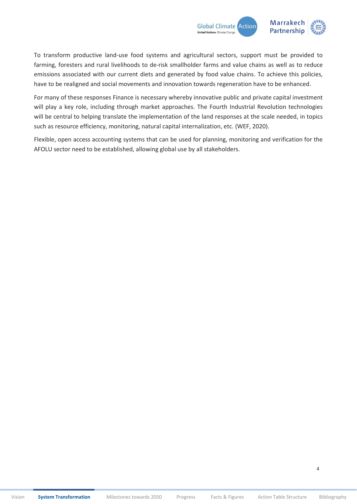

To transform productive land-use food systems and agricultural sectors, support must be provided to farming, foresters and rural livelihoods to de-risk smallholder farms and value chains as well as to reduce emissions associated with our current diets and generated by food value chains. To achieve this policies, have to be realigned and social movements and innovation towards regeneration have to be enhanced.

For many of these responses Finance is necessary whereby innovative public and private capital investment will play a key role, including through market approaches. The Fourth Industrial Revolution technologies will be central to helping translate the implementation of the land responses at the scale needed, in topics such as resource efficiency, monitoring, natural capital internalization, etc. (WEF, 2020).

Flexible, open access accounting systems that can be used for planning, monitoring and verification for the AFOLU sector need to be established, allowing global use by all stakeholders.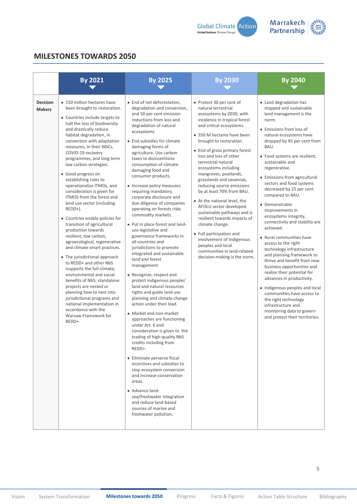



#### <span id="page-4-0"></span>**MILESTONES TOWARDS 2050**

|                                  | <b>By 2021</b>                                                                                                                                                                                                                                                                                                                                                                                                                                                                                                                                                                                                                                                                                                                                                                                                                                                                                                                                                                                                               | <b>By 2025</b>                                                                                                                                                                                                                                                                                                                                                                                                                                                                                                                                                                                                                                                                                                                                                                                                                                                                                                                                                                                                                                                                                                                                                                                                                                                                                                                                        | <b>By 2030</b>                                                                                                                                                                                                                                                                                                                                                                                                                                                                                                                                                                                                                                                                                                     | <b>By 2040</b>                                                                                                                                                                                                                                                                                                                                                                                                                                                                                                                                                                                                                                                                                                                                                                                                                                                                                       |
|----------------------------------|------------------------------------------------------------------------------------------------------------------------------------------------------------------------------------------------------------------------------------------------------------------------------------------------------------------------------------------------------------------------------------------------------------------------------------------------------------------------------------------------------------------------------------------------------------------------------------------------------------------------------------------------------------------------------------------------------------------------------------------------------------------------------------------------------------------------------------------------------------------------------------------------------------------------------------------------------------------------------------------------------------------------------|-------------------------------------------------------------------------------------------------------------------------------------------------------------------------------------------------------------------------------------------------------------------------------------------------------------------------------------------------------------------------------------------------------------------------------------------------------------------------------------------------------------------------------------------------------------------------------------------------------------------------------------------------------------------------------------------------------------------------------------------------------------------------------------------------------------------------------------------------------------------------------------------------------------------------------------------------------------------------------------------------------------------------------------------------------------------------------------------------------------------------------------------------------------------------------------------------------------------------------------------------------------------------------------------------------------------------------------------------------|--------------------------------------------------------------------------------------------------------------------------------------------------------------------------------------------------------------------------------------------------------------------------------------------------------------------------------------------------------------------------------------------------------------------------------------------------------------------------------------------------------------------------------------------------------------------------------------------------------------------------------------------------------------------------------------------------------------------|------------------------------------------------------------------------------------------------------------------------------------------------------------------------------------------------------------------------------------------------------------------------------------------------------------------------------------------------------------------------------------------------------------------------------------------------------------------------------------------------------------------------------------------------------------------------------------------------------------------------------------------------------------------------------------------------------------------------------------------------------------------------------------------------------------------------------------------------------------------------------------------------------|
| <b>Decision</b><br><b>Makers</b> | • 150 million hectares have<br>been brought to restoration.<br>• Countries include targets to<br>halt the loss of biodiversity<br>and drastically reduce<br>habitat degradation, in<br>connection with adaptation<br>measures, in their NDCs,<br>COVID-19 recovery<br>programmes, and long term<br>low carbon strategies.<br>• Good progress on<br>establishing rules to<br>operationalize ITMOs, and<br>consideration is given for<br>ITMOS from the forest and<br>land use sector (including<br>REDD+).<br>• Countries enable policies for<br>transition of agricultural<br>production towards<br>resilient, low carbon,<br>agroecological, regenerative<br>and climate smart practices.<br>• The jurisdictional approach<br>to REDD+ and other NbS<br>isupports the full climate,<br>environmental and social<br>benefits of NbS; standalone<br>projects are nested or<br>planning how to nest into<br>jurisdictional programs and<br>national implementation in<br>accordance with the<br>Warsaw Framework for<br>REDD+. | • End of net deforestation,<br>degradation and conversion,<br>and 50 per cent emission<br>reductions from loss and<br>degradation of natural<br>ecosystems.<br>• End subsidies for climate<br>damaging forms of<br>agriculture. Use carbon<br>taxes to disincentivize<br>consumption of climate-<br>damaging food and<br>consumer products.<br>• Increase policy measures<br>requiring mandatory<br>corporate disclosure and<br>due diligence of companies<br>operating on forests risks<br>commodity markets.<br>• Put in place forest and land-<br>use legislative and<br>governance frameworks in<br>all countries and<br>jurisdictions to promote<br>integrated and sustainable<br>land and forest<br>management.<br>• Recognize, respect and<br>protect indigenous peoples'<br>land and natural resources<br>rights and guide land use<br>planning and climate change<br>action under their lead.<br>• Market and non-market<br>approaches are functioning<br>under Art. 6 and<br>consideration is given to the<br>trading of high-quality NbS<br>credits including from<br>REDD+.<br>• Eliminate perverse fiscal<br>incentives and subsidies to<br>stop ecosystem conversion<br>and increase conservation<br>areas.<br>• Advance land-<br>sea/freshwater integration<br>and reduce land-based<br>sources of marine and<br>freshwater pollution. | • Protect 30 per cent of<br>natural terrestrial<br>ecosystems by 2030, with<br>incidence in tropical forest<br>and critical ecosystems.<br>• 350 M hectares have been<br>brought to restoration.<br>• End of gross primary forest<br>loss and loss of other<br>terrestrial natural<br>ecosystems including<br>mangroves, peatlands,<br>grasslands and savannas,<br>reducing source emissions<br>by at least 70% from BAU.<br>• At the national level, the<br>AFOLU sector developed<br>sustainable pathways and is<br>resilient towards impacts of<br>climate change.<br>• Full participation and<br>involvement of Indigenous<br>peoples and local<br>communities in land-related<br>decision-making is the norm. | • Land degradation has<br>stopped and sustainable<br>land management is the<br>norm.<br>• Emissions from loss of<br>natural ecosystems have<br>dropped by 95 per cent from<br>BAU.<br>• Food systems are resilient,<br>sustainable and<br>regenerative.<br>• Emissions from agricultural<br>sectors and food systems<br>decreased by 25 per cent<br>compared to BAU.<br>• Demonstrable<br>improvements in<br>ecosystems integrity,<br>connectivity and stability are<br>achieved.<br>• Rural communities have<br>access to the right<br>technology infrastructure<br>and planning framework to<br>thrive and benefit from new<br>business opportunities and<br>realize their potential for<br>advances in productivity.<br>• Indigenous peoples and local<br>communities have access to<br>the right technology<br>infrastructure and<br>monitoring data to govern<br>and protect their territories. |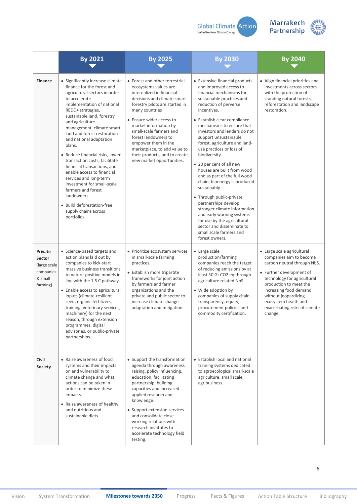



|                                                                       | <b>By 2021</b>                                                                                                                                                                                                                                                                                                                                                                                                                                                                                                                                                                                                           | <b>By 2025</b>                                                                                                                                                                                                                                                                                                                                                                                       | <b>By 2030</b>                                                                                                                                                                                                                                                                                                                                                                                                                                                                                                                                                                                                                                                                                                                   | <b>By 2040</b>                                                                                                                                                                                                                                                                                  |
|-----------------------------------------------------------------------|--------------------------------------------------------------------------------------------------------------------------------------------------------------------------------------------------------------------------------------------------------------------------------------------------------------------------------------------------------------------------------------------------------------------------------------------------------------------------------------------------------------------------------------------------------------------------------------------------------------------------|------------------------------------------------------------------------------------------------------------------------------------------------------------------------------------------------------------------------------------------------------------------------------------------------------------------------------------------------------------------------------------------------------|----------------------------------------------------------------------------------------------------------------------------------------------------------------------------------------------------------------------------------------------------------------------------------------------------------------------------------------------------------------------------------------------------------------------------------------------------------------------------------------------------------------------------------------------------------------------------------------------------------------------------------------------------------------------------------------------------------------------------------|-------------------------------------------------------------------------------------------------------------------------------------------------------------------------------------------------------------------------------------------------------------------------------------------------|
| <b>Finance</b>                                                        | • Significantly increase climate<br>finance for the forest and<br>agricultural sectors in order<br>to accelerate<br>implementation of national<br>REDD+ strategies,<br>sustainable land, forestry<br>and agriculture<br>management, climate smart<br>land and forest restoration<br>and national adaptation<br>plans.<br>• Reduce financial risks, lower<br>transaction costs, facilitate<br>financial transactions, and<br>enable access to financial<br>services and long-term<br>investment for small-scale<br>farmers and forest<br>landowners.<br>· Build deforestation-free<br>supply chains across<br>portfolios. | • Forest and other terrestrial<br>ecosystems values are<br>internalized in financial<br>decisions and climate smart<br>forestry pilots are started in<br>many countries<br>• Ensure wider access to<br>market information by<br>small-scale farmers and<br>forest landowners to<br>empower them in the<br>marketplace, to add value to<br>their products, and to create<br>new market opportunities. | • Extensive financial products<br>and improved access to<br>financial mechanisms for<br>sustainable practices and<br>reduction of perverse<br>incentives.<br>• Establish clear compliance<br>mechanisms to ensure that<br>investors and lenders do not<br>support unsustainable<br>forest, agriculture and land-<br>use practices or loss of<br>biodiversity.<br>• 20 per cent of all new<br>houses are built from wood<br>and as part of the full wood<br>chain, bioenergy is produced<br>sustainably<br>• Through public-private<br>partnerships develop<br>stronger climate information<br>and early warning systems<br>for use by the agricultural<br>sector and disseminate to<br>small scale farmers and<br>forest owners. | • Align financial priorities and<br>investments across sectors<br>with the protection of<br>standing natural forests,<br>reforestation and landscape<br>restoration.                                                                                                                            |
| Private<br>Sector<br>(large scale<br>companies<br>& small<br>farming) | • Science-based targets and<br>action plans laid out by<br>companies to kick-start<br>massive business transitions<br>to nature-positive models in<br>line with the 1.5 C pathway.<br>• Enable access to agricultural<br>inputs (climate-resilient<br>seed, organic fertilizers,<br>training, veterinary services,<br>machinery) for the next<br>season, through extension<br>programmes, digital<br>advisories, or public-private<br>partnerships.                                                                                                                                                                      | • Prioritize ecosystem services<br>in small-scale farming<br>practices.<br>• Establish more tripartite<br>frameworks for joint action<br>by farmers and farmer<br>organizations and the<br>private and public sector to<br>increase climate change<br>adaptation and mitigation.                                                                                                                     | • Large scale<br>production/farming<br>companies reach the target<br>of reducing emissions by at<br>least 50 Gt CO2 eq through<br>agriculture related NbS<br>• Wide adoption by<br>companies of supply chain<br>transparency, equity,<br>procurement policies and<br>commodity certification.                                                                                                                                                                                                                                                                                                                                                                                                                                    | • Large scale agricultural<br>companies aim to become<br>carbon neutral through NbS.<br>• Further development of<br>technology for agricultural<br>production to meet the<br>increasing food demand<br>without jeopardizing<br>ecosystem health and<br>exacerbating risks of climate<br>change. |
| Civil<br>Society                                                      | • Raise awareness of food<br>systems and their impacts<br>on and vulnerability to<br>climate change and what<br>actions can be taken in<br>order to minimize these<br>impacts.<br>• Raise awareness of healthy<br>and nutritious and<br>sustainable diets.                                                                                                                                                                                                                                                                                                                                                               | • Support the transformation<br>agenda through awareness<br>raising, policy influencing,<br>education, facilitating<br>partnership, building<br>capacities and increased<br>applied research and<br>knowledge.<br>• Support extension services<br>and consolidate close<br>working relations with<br>research institutes to<br>accelerate technology field<br>testing.                               | • Establish local and national<br>training systems dedicated<br>to agroecological small-scale<br>agriculture, small scale<br>agribusiness.                                                                                                                                                                                                                                                                                                                                                                                                                                                                                                                                                                                       |                                                                                                                                                                                                                                                                                                 |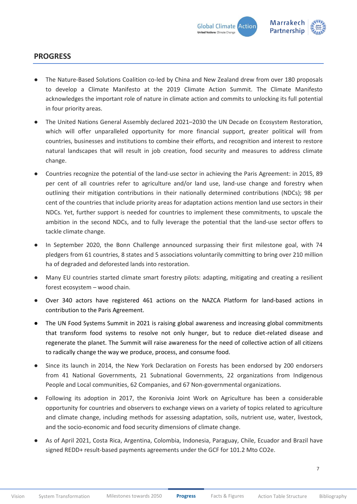

#### <span id="page-6-0"></span>**PROGRESS**

- The Nature-Based Solutions Coalition co-led by China and New Zealand drew from over 180 proposals to develop a Climate Manifesto at the 2019 Climate Action Summit. The Climate Manifesto acknowledges the important role of nature in climate action and commits to unlocking its full potential in four priority areas.
- The United Nations General Assembly declared 2021–2030 the UN Decade on Ecosystem Restoration, which will offer unparalleled opportunity for more financial support, greater political will from countries, businesses and institutions to combine their efforts, and recognition and interest to restore natural landscapes that will result in job creation, food security and measures to address climate change.
- Countries recognize the potential of the land-use sector in achieving the Paris Agreement: in 2015, 89 per cent of all countries refer to agriculture and/or land use, land-use change and forestry when outlining their mitigation contributions in their nationally determined contributions (NDCs); 98 per cent of the countries that include priority areas for adaptation actions mention land use sectors in their NDCs. Yet, further support is needed for countries to implement these commitments, to upscale the ambition in the second NDCs, and to fully leverage the potential that the land-use sector offers to tackle climate change.
- In September 2020, the Bonn Challenge announced surpassing their first milestone goal, with 74 pledgers from 61 countries, 8 states and 5 associations voluntarily committing to bring over 210 million ha of degraded and deforested lands into restoration.
- Many EU countries started climate smart forestry pilots: adapting, mitigating and creating a resilient forest ecosystem – wood chain.
- Over 340 actors have registered 461 actions on the NAZCA Platform for land-based actions in contribution to the Paris Agreement.
- The UN Food Systems Summit in 2021 is raising global awareness and increasing global commitments that transform food systems to resolve not only hunger, but to reduce diet-related disease and regenerate the planet. The Summit will raise awareness for the need of collective action of all citizens to radically change the way we produce, process, and consume food.
- Since its launch in 2014, the New York Declaration on Forests has been endorsed by 200 endorsers from 41 National Governments, 21 Subnational Governments, 22 organizations from Indigenous People and Local communities, 62 Companies, and 67 Non-governmental organizations.
- Following its adoption in 2017, the Koronivia Joint Work on Agriculture has been a considerable opportunity for countries and observers to exchange views on a variety of topics related to agriculture and climate change, including methods for assessing adaptation, soils, nutrient use, water, livestock, and the socio-economic and food security dimensions of climate change.
- As of April 2021, Costa Rica, Argentina, Colombia, Indonesia, Paraguay, Chile, Ecuador and Brazil have signed REDD+ result-based payments agreements under the GCF for 101.2 Mto CO2e.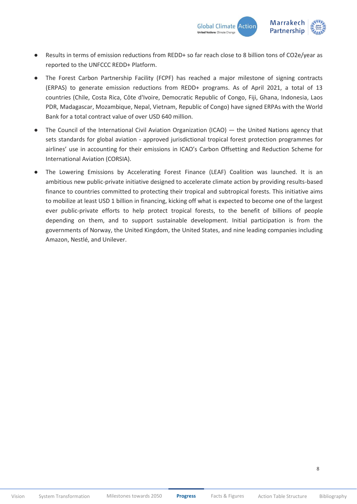

- Results in terms of emission reductions from REDD+ so far reach close to 8 billion tons of CO2e/year as reported to the UNFCCC REDD+ Platform.
- The Forest Carbon Partnership Facility (FCPF) has reached a major milestone of signing contracts (ERPAS) to generate emission reductions from REDD+ programs. As of April 2021, a total of 13 countries (Chile, Costa Rica, Côte d'Ivoire, Democratic Republic of Congo, Fiji, Ghana, Indonesia, Laos PDR, Madagascar, Mozambique, Nepal, Vietnam, Republic of Congo) have signed ERPAs with the World Bank for a total contract value of over USD 640 million.
- The Council of the International Civil Aviation Organization (ICAO) the United Nations agency that sets standards for global aviation - approved jurisdictional tropical forest protection programmes for airlines' use in accounting for their emissions in ICAO's Carbon Offsetting and Reduction Scheme for International Aviation (CORSIA).
- The Lowering Emissions by Accelerating Forest Finance (LEAF) Coalition was launched. It is an ambitious new public-private initiative designed to accelerate climate action by providing results-based finance to countries committed to protecting their tropical and subtropical forests. This initiative aims to mobilize at least USD 1 billion in financing, kicking off what is expected to become one of the largest ever public-private efforts to help protect tropical forests, to the benefit of billions of people depending on them, and to support sustainable development. Initial participation is from the governments of Norway, the United Kingdom, the United States, and nine leading companies including Amazon, Nestlé, and Unilever.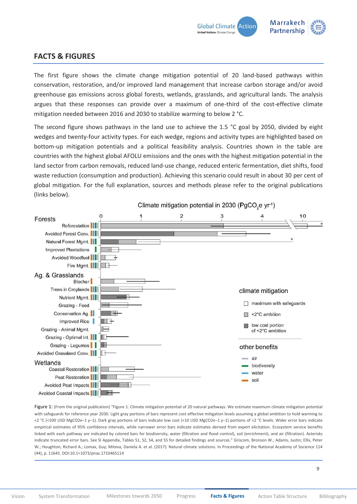

#### <span id="page-8-0"></span>**FACTS & FIGURES**

The first figure shows the climate change mitigation potential of 20 land-based pathways within conservation, restoration, and/or improved land management that increase carbon storage and/or avoid greenhouse gas emissions across global forests, wetlands, grasslands, and agricultural lands. The analysis argues that these responses can provide over a maximum of one-third of the cost-effective climate mitigation needed between 2016 and 2030 to stabilize warming to below 2 °C.

The second figure shows pathways in the land use to achieve the 1.5 °C goal by 2050, divided by eight wedges and twenty-four activity types. For each wedge, regions and activity types are highlighted based on bottom-up mitigation potentials and a political feasibility analysis. Countries shown in the table are countries with the highest global AFOLU emissions and the ones with the highest mitigation potential in the land sector from carbon removals, reduced land-use change, reduced enteric fermentation, diet shifts, food waste reduction (consumption and production). Achieving this scenario could result in about 30 per cent of global mitigation. For the full explanation, sources and methods please refer to the original publications (links below).



Figure 1: (From the original publication) "Figure 1. Climate mitigation potential of 20 natural pathways. We estimate maximum climate mitigation potential with safeguards for reference year 2030. Light gray portions of bars represent cost-effective mitigation levels assuming a global ambition to hold warming to <2 °C (<100 USD MgCO2e−1 y−1). Dark gray portions of bars indicate low cost (<10 USD MgCO2e−1 y−1) portions of <2 °C levels. Wider error bars indicate empirical estimates of 95% confidence intervals, while narrower error bars indicate estimates derived from expert elicitation. Ecosystem service benefits linked with each pathway are indicated by colored bars for biodiversity, water (filtration and flood control), soil (enrichment), and air (filtration). Asterisks indicate truncated error bars. See [SI Appendix, Tables S1, S2, S4, and S5](http://www.pnas.org/lookup/suppl/doi:10.1073/pnas.1710465114/-/DCSupplemental/pnas.1710465114.sapp.pdf) for detailed findings and sources." Griscom, Bronson W.; Adams, Justin; Ellis, Peter W.; Houghton, Richard A.; Lomax, Guy; Miteva, Daniela A. et al. (2017): Natural climate solutions. In Proceedings of the National Academy of Socience 114 (44), p. 11645. DOI:10.1=1073/pnas.1710465114

9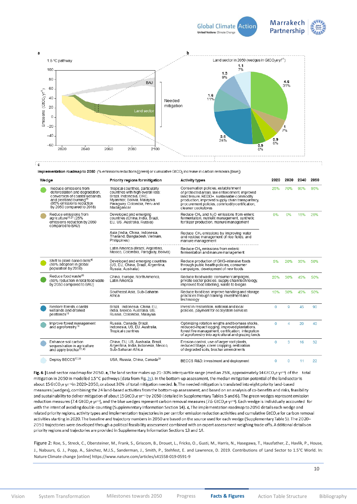

<span id="page-9-0"></span>

Implementation roadmap to 2050 (% emissions reductions [green] or cumulative GtCO<sub>2</sub> increase in carbon removals [blue])

| Wedge |                                                                                                                                                                                           | Priority regions for mitigation                                                                                                                                               | <b>Activity types</b>                                                                                                                                                                                                                                         | 2020     | 2030         | 2040 | 2050 |
|-------|-------------------------------------------------------------------------------------------------------------------------------------------------------------------------------------------|-------------------------------------------------------------------------------------------------------------------------------------------------------------------------------|---------------------------------------------------------------------------------------------------------------------------------------------------------------------------------------------------------------------------------------------------------------|----------|--------------|------|------|
|       | Reduce emissions from<br>deforestation and degradation.<br>conversion of coastal wetlands.<br>and peatland burning <sup>18</sup><br>(95% emissions reduction<br>by 2050 compared to 2018) | Tropical countries, particularly<br>countries with high overall loss:<br>Brazil, Indonesia, DRC.<br>Myanmar, Bolivia, Malaysia,<br>Paraguay, Colombia, Peru and<br>Madagascar | Conservation policies, establishment<br>of protected areas, law enforcement, improved<br>land tenure. REDD+, sustainable commodity<br>production, improved supply chain transparency,<br>procurement policies, commodity certification,<br>cleaner cookstoves | 25%      | 70%          | 90%  | 95%  |
|       | Reduce emissions from<br>agriculture <sup>16,21</sup> (25%<br>emissions reduction by 2050<br>compared to BAU)                                                                             | Developed and emerging<br>countries (China, India, Brazil,<br>EU, US, Australia, Russia)                                                                                      | Reduce $CH_4$ and N <sub>2</sub> O emissions from enteric<br>fermentation, nutrient management, synthetic<br>fertilizer production, manure management                                                                                                         | 0%       | 0%           | 15%  | 25%  |
|       |                                                                                                                                                                                           | Asia (India, China, Indonesia,<br>Thailand, Bangladesh, Vietnam,<br>Philippines)                                                                                              | Reduce CH <sub>4</sub> emissions by improving water<br>and residue management of rice fields, and<br>manure management                                                                                                                                        |          |              |      |      |
|       |                                                                                                                                                                                           | Latin America (Brazil, Argentina,<br>Mexico, Colombia, Paraguay, Bolivia)                                                                                                     | Reduce CH <sub>4</sub> emissions from enteric<br>fermentation and manure management                                                                                                                                                                           |          |              |      |      |
|       | Shift to plant-based diets <sup>45</sup><br>(50% adoption in global<br>population by 2050)                                                                                                | Developed and emerging countries<br>(US, EU, China, Brazil, Argentina,<br>Russia, Australia)                                                                                  | Reduce production of GHG-intensive foods<br>through public health policies, consumer<br>campaigns, development of new foods                                                                                                                                   | 5%       | 20%          | 35%  | 50%  |
|       | Reduce food waste <sup>45</sup><br>(50% reduction in total food waste<br>by 2050 compared to BAU)                                                                                         | China, Europe, North America,<br>Latin America                                                                                                                                | Reduce food waste: consumer campaigns.<br>private sector policies, supply chain technology,<br>improved food labelling, waste to biogas                                                                                                                       | 20%      | 30%          | 45%  | 50%  |
|       |                                                                                                                                                                                           | Southeast Asia, Sub-Saharan<br>Africa                                                                                                                                         | Reduce food loss: improve handling and storage<br>practices through training, investment and<br>technology                                                                                                                                                    | 10%      | 30%          | 45%  | 50%  |
|       | Restore forests, coastal<br>wetlands and drained<br>peatlands <sup>18</sup>                                                                                                               | Brazil. Indonesia. China. EU.<br>India, Mexico, Australia, US,<br>Russia, Colombia, Malaysia                                                                                  | Invest in restoration, national and local<br>policies, payment for ecosystem services                                                                                                                                                                         | $\Omega$ | $\mathbf{Q}$ | 45   | 90   |
|       | Improve forest management<br>and agroforestry <sup>18</sup>                                                                                                                               | Russia, Canada, Brazil,<br>Indonesia, US, EU, Australia,<br>Tropical countries                                                                                                | Optimizing rotation lengths and biomass stocks,<br>reduced-impact logging, improved plantations,<br>forest fire management, certification; integration<br>of agroforestry into agricultural and grazing lands                                                 | 0        | $\Delta$     | 20   | 40   |
|       | Enhance soil carbon<br>sequestration in agriculture<br>and apply biochar <sup>17,45</sup>                                                                                                 | China, EU, US, Australia, Brazil,<br>Argentina, India, Indonesia, Mexico,<br>Sub-Saharan Africa                                                                               | Erosion control, use of larger root plants,<br>reduced tillage, cover cropping, restoration<br>of degraded soils, biochar amendments                                                                                                                          | $\Omega$ | 3            | 16   | 32   |
|       | Deploy BECCS <sup>17,35</sup>                                                                                                                                                             | USA, Russia, China, Canada <sup>35</sup>                                                                                                                                      | BECCS R&D, investment and deployment                                                                                                                                                                                                                          | 0        | 0            | 11   | 22   |

Fig. 6 | Land-sector roadmap for 2050. a, The land sector makes up 21-30% interquartile range (median 25%, approximately 14 GtCO<sub>2</sub>e yr<sup>-1</sup>) of the total mitigation in 2050 in modelled 1.5°C pathways (data from Fig.  $2c$ ). In the bottom-up assessment, the median mitigation potential of the land sector is about 15 GtCO<sub>2</sub>e yr<sup>-1</sup>in 2020-2050, or about 30% of total mitigation needed. b, The needed mitigation is translated into eight priority land-based measures (wedges), combining the 24 land-based activities from the bottom-up assessment, and based on an analysis of co-benefits and risks, feasibility and sustainability to deliver mitigation of about 15GtCO<sub>2</sub>e yr<sup>-1</sup> by 2050 (detailed in Supplementary Tables 5 and 6). The green wedges represent emission reduction measures (7.4 GtCO<sub>2</sub>e yr<sup>-1</sup>), and the blue wedges represent carbon removal measures (7.6 GtCO<sub>2</sub>e yr<sup>-1</sup>). Each wedge is individually accounted for with the intent of avoiding double-counting (Supplementary Information Section 14). c, The implementation roadmap to 2050 details each wedge and related priority regions, activity types and implementation trajectories in per cent for emission reduction activities and cumulative GtCO<sub>2</sub>e for carbon removal activities starting in 2020. The baseline and trajectory numbers in 2050 are based on the source used for each wedge (Supplementary Table 5). The 2020-2050 trajectories were developed through a political feasibility assessment combined with an expert assessment weighing trade-offs. Additional details on priority regions and trajectories are provided in Supplementary Information Sections 13 and 14.

Figure 2: Roe, S., Streck, C., Obersteiner, M., Frank, S., Griscom, B., Drouet, L., Fricko, O., Gusti, M., Harris, N., Hasegawa, T., Hausfather, Z., Havlík, P., House, J., Nabuurs, G. J., Popp, A., Sánchez, M.J.S., Sanderman, J., Smith, P., Stehfest, E. and Lawrence, D. 2019. Contributions of Land Sector to 1.5°C World. In: Nature Climate change [online] https://www.nature.com/articles/s41558-019-0591-9

10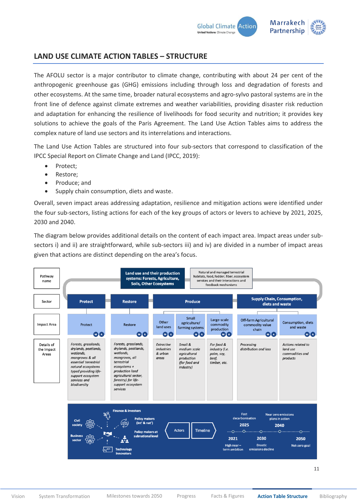

#### <span id="page-10-0"></span>**LAND USE CLIMATE ACTION TABLES – STRUCTURE**

The AFOLU sector is a major contributor to climate change, contributing with about 24 per cent of the anthropogenic greenhouse gas (GHG) emissions including through loss and degradation of forests and other ecosystems. At the same time, broader natural ecosystems and agro-sylvo pastoral systems are in the front line of defence against climate extremes and weather variabilities, providing disaster risk reduction and adaptation for enhancing the resilience of livelihoods for food security and nutrition; it provides key solutions to achieve the goals of the Paris Agreement. The Land Use Action Tables aims to address the complex nature of land use sectors and its interrelations and interactions.

The Land Use Action Tables are structured into four sub-sectors that correspond to classification of the IPCC Special Report on Climate Change and Land (IPCC, 2019):

- Protect;
- Restore;
- Produce; and
- Supply chain consumption, diets and waste.

Overall, seven impact areas addressing adaptation, resilience and mitigation actions were identified under the four sub-sectors, listing actions for each of the key groups of actors or levers to achieve by 2021, 2025, 2030 and 2040.

The diagram below provides additional details on the content of each impact area. Impact areas under subsectors i) and ii) are straightforward, while sub-sectors iii) and iv) are divided in a number of impact areas given that actions are distinct depending on the area's focus.